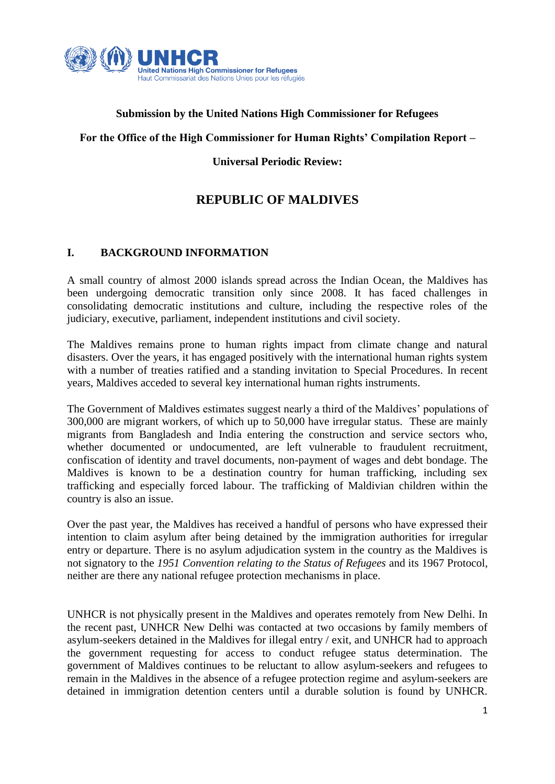

### **Submission by the United Nations High Commissioner for Refugees**

#### **For the Office of the High Commissioner for Human Rights' Compilation Report –**

**Universal Periodic Review:**

# **REPUBLIC OF MALDIVES**

### **I. BACKGROUND INFORMATION**

A small country of almost 2000 islands spread across the Indian Ocean, the Maldives has been undergoing democratic transition only since 2008. It has faced challenges in consolidating democratic institutions and culture, including the respective roles of the judiciary, executive, parliament, independent institutions and civil society.

The Maldives remains prone to human rights impact from climate change and natural disasters. Over the years, it has engaged positively with the international human rights system with a number of treaties ratified and a standing invitation to Special Procedures. In recent years, Maldives acceded to several key international human rights instruments.

The Government of Maldives estimates suggest nearly a third of the Maldives' populations of 300,000 are migrant workers, of which up to 50,000 have irregular status. These are mainly migrants from Bangladesh and India entering the construction and service sectors who, whether documented or undocumented, are left vulnerable to fraudulent recruitment, confiscation of identity and travel documents, non-payment of wages and debt bondage. The Maldives is known to be a destination country for human trafficking, including sex trafficking and especially forced labour. The trafficking of Maldivian children within the country is also an issue.

Over the past year, the Maldives has received a handful of persons who have expressed their intention to claim asylum after being detained by the immigration authorities for irregular entry or departure. There is no asylum adjudication system in the country as the Maldives is not signatory to the *1951 Convention relating to the Status of Refugees* and its 1967 Protocol, neither are there any national refugee protection mechanisms in place.

UNHCR is not physically present in the Maldives and operates remotely from New Delhi. In the recent past, UNHCR New Delhi was contacted at two occasions by family members of asylum-seekers detained in the Maldives for illegal entry / exit, and UNHCR had to approach the government requesting for access to conduct refugee status determination. The government of Maldives continues to be reluctant to allow asylum-seekers and refugees to remain in the Maldives in the absence of a refugee protection regime and asylum-seekers are detained in immigration detention centers until a durable solution is found by UNHCR.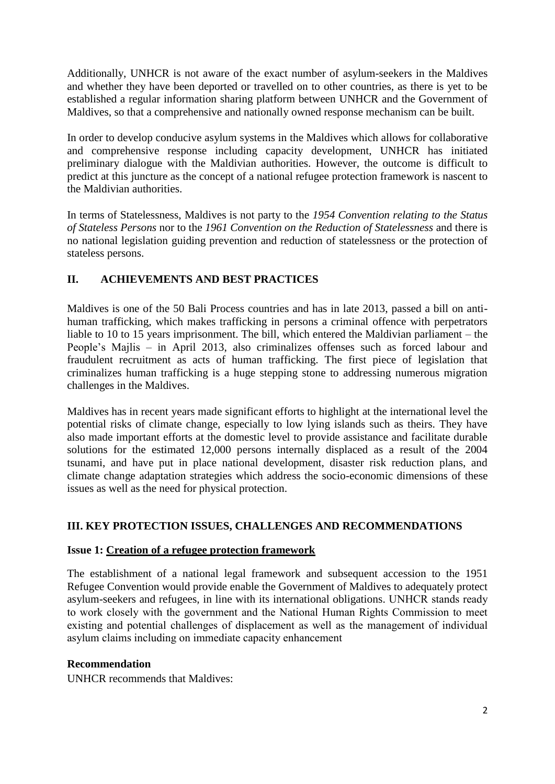Additionally, UNHCR is not aware of the exact number of asylum-seekers in the Maldives and whether they have been deported or travelled on to other countries, as there is yet to be established a regular information sharing platform between UNHCR and the Government of Maldives, so that a comprehensive and nationally owned response mechanism can be built.

In order to develop conducive asylum systems in the Maldives which allows for collaborative and comprehensive response including capacity development, UNHCR has initiated preliminary dialogue with the Maldivian authorities. However, the outcome is difficult to predict at this juncture as the concept of a national refugee protection framework is nascent to the Maldivian authorities.

In terms of Statelessness, Maldives is not party to the *1954 Convention relating to the Status of Stateless Persons* nor to the *1961 Convention on the Reduction of Statelessness* and there is no national legislation guiding prevention and reduction of statelessness or the protection of stateless persons.

# **II. ACHIEVEMENTS AND BEST PRACTICES**

Maldives is one of the 50 Bali Process countries and has in late 2013, passed a bill on antihuman trafficking, which makes trafficking in persons a criminal offence with perpetrators liable to 10 to 15 years imprisonment. The bill, which entered the Maldivian parliament – the People's Majlis – in April 2013, also criminalizes offenses such as forced labour and fraudulent recruitment as acts of human trafficking. The first piece of legislation that criminalizes human trafficking is a huge stepping stone to addressing numerous migration challenges in the Maldives.

Maldives has in recent years made significant efforts to highlight at the international level the potential risks of climate change, especially to low lying islands such as theirs. They have also made important efforts at the domestic level to provide assistance and facilitate durable solutions for the estimated 12,000 persons internally displaced as a result of the 2004 tsunami, and have put in place national development, disaster risk reduction plans, and climate change adaptation strategies which address the socio-economic dimensions of these issues as well as the need for physical protection.

# **III. KEY PROTECTION ISSUES, CHALLENGES AND RECOMMENDATIONS**

### **Issue 1: Creation of a refugee protection framework**

The establishment of a national legal framework and subsequent accession to the 1951 Refugee Convention would provide enable the Government of Maldives to adequately protect asylum-seekers and refugees, in line with its international obligations. UNHCR stands ready to work closely with the government and the National Human Rights Commission to meet existing and potential challenges of displacement as well as the management of individual asylum claims including on immediate capacity enhancement

### **Recommendation**

UNHCR recommends that Maldives: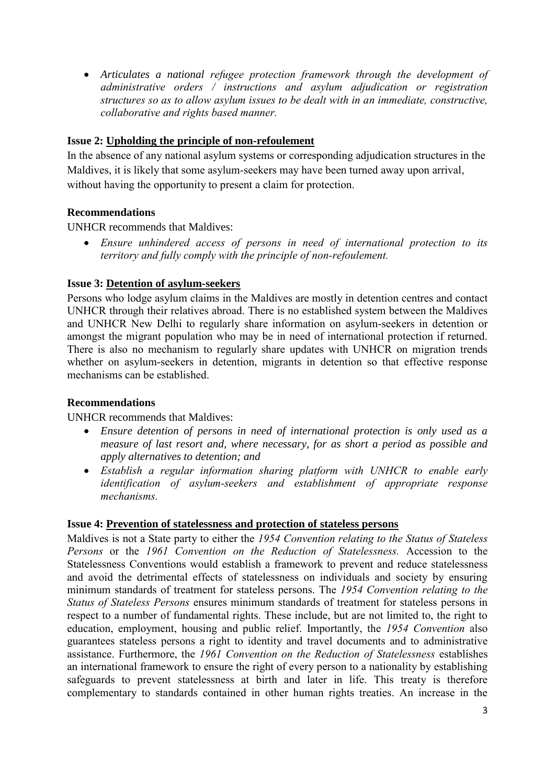*Articulates a national refugee protection framework through the development of administrative orders / instructions and asylum adjudication or registration structures so as to allow asylum issues to be dealt with in an immediate, constructive, collaborative and rights based manner.*

### **Issue 2: Upholding the principle of non-refoulement**

In the absence of any national asylum systems or corresponding adjudication structures in the Maldives, it is likely that some asylum-seekers may have been turned away upon arrival, without having the opportunity to present a claim for protection.

### **Recommendations**

UNHCR recommends that Maldives:

 *Ensure unhindered access of persons in need of international protection to its territory and fully comply with the principle of non-refoulement.*

### **Issue 3: Detention of asylum-seekers**

Persons who lodge asylum claims in the Maldives are mostly in detention centres and contact UNHCR through their relatives abroad. There is no established system between the Maldives and UNHCR New Delhi to regularly share information on asylum-seekers in detention or amongst the migrant population who may be in need of international protection if returned. There is also no mechanism to regularly share updates with UNHCR on migration trends whether on asylum-seekers in detention, migrants in detention so that effective response mechanisms can be established.

### **Recommendations**

UNHCR recommends that Maldives:

- *Ensure detention of persons in need of international protection is only used as a measure of last resort and, where necessary, for as short a period as possible and apply alternatives to detention; and*
- *Establish a regular information sharing platform with UNHCR to enable early identification of asylum-seekers and establishment of appropriate response mechanisms.*

### **Issue 4: Prevention of statelessness and protection of stateless persons**

Maldives is not a State party to either the *1954 Convention relating to the Status of Stateless Persons* or the *1961 Convention on the Reduction of Statelessness.* Accession to the Statelessness Conventions would establish a framework to prevent and reduce statelessness and avoid the detrimental effects of statelessness on individuals and society by ensuring minimum standards of treatment for stateless persons. The *1954 Convention relating to the Status of Stateless Persons* ensures minimum standards of treatment for stateless persons in respect to a number of fundamental rights. These include, but are not limited to, the right to education, employment, housing and public relief. Importantly, the *1954 Convention* also guarantees stateless persons a right to identity and travel documents and to administrative assistance. Furthermore, the *1961 Convention on the Reduction of Statelessness* establishes an international framework to ensure the right of every person to a nationality by establishing safeguards to prevent statelessness at birth and later in life. This treaty is therefore complementary to standards contained in other human rights treaties. An increase in the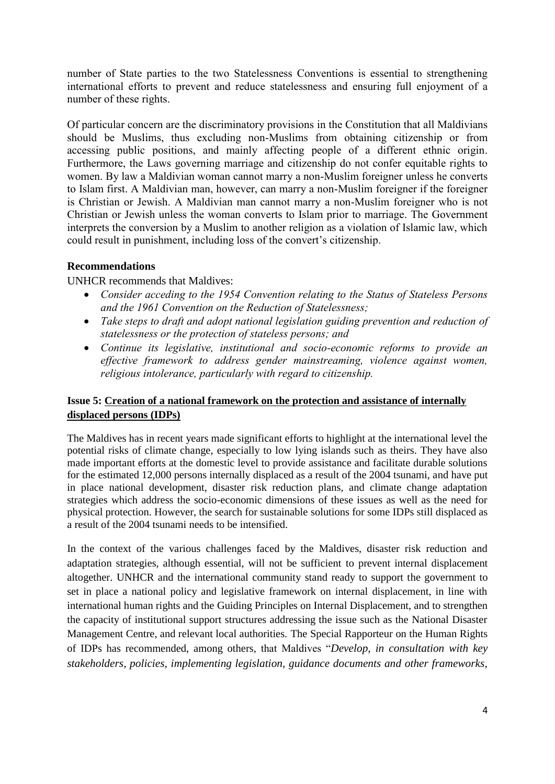number of State parties to the two Statelessness Conventions is essential to strengthening international efforts to prevent and reduce statelessness and ensuring full enjoyment of a number of these rights.

Of particular concern are the discriminatory provisions in the Constitution that all Maldivians should be Muslims, thus excluding non-Muslims from obtaining citizenship or from accessing public positions, and mainly affecting people of a different ethnic origin. Furthermore, the Laws governing marriage and citizenship do not confer equitable rights to women. By law a Maldivian woman cannot marry a non-Muslim foreigner unless he converts to Islam first. A Maldivian man, however, can marry a non-Muslim foreigner if the foreigner is Christian or Jewish. A Maldivian man cannot marry a non-Muslim foreigner who is not Christian or Jewish unless the woman converts to Islam prior to marriage. The Government interprets the conversion by a Muslim to another religion as a violation of Islamic law, which could result in punishment, including loss of the convert's citizenship.

### **Recommendations**

UNHCR recommends that Maldives:

- *Consider acceding to the 1954 Convention relating to the Status of Stateless Persons and the 1961 Convention on the Reduction of Statelessness;*
- *Take steps to draft and adopt national legislation guiding prevention and reduction of statelessness or the protection of stateless persons; and*
- *Continue its legislative, institutional and socio-economic reforms to provide an effective framework to address gender mainstreaming, violence against women, religious intolerance, particularly with regard to citizenship.*

### **Issue 5: Creation of a national framework on the protection and assistance of internally displaced persons (IDPs)**

The Maldives has in recent years made significant efforts to highlight at the international level the potential risks of climate change, especially to low lying islands such as theirs. They have also made important efforts at the domestic level to provide assistance and facilitate durable solutions for the estimated 12,000 persons internally displaced as a result of the 2004 tsunami, and have put in place national development, disaster risk reduction plans, and climate change adaptation strategies which address the socio-economic dimensions of these issues as well as the need for physical protection. However, the search for sustainable solutions for some IDPs still displaced as a result of the 2004 tsunami needs to be intensified.

In the context of the various challenges faced by the Maldives, disaster risk reduction and adaptation strategies, although essential, will not be sufficient to prevent internal displacement altogether. UNHCR and the international community stand ready to support the government to set in place a national policy and legislative framework on internal displacement, in line with international human rights and the Guiding Principles on Internal Displacement, and to strengthen the capacity of institutional support structures addressing the issue such as the National Disaster Management Centre, and relevant local authorities. The Special Rapporteur on the Human Rights of IDPs has recommended, among others, that Maldives "*Develop, in consultation with key stakeholders, policies, implementing legislation, guidance documents and other frameworks,*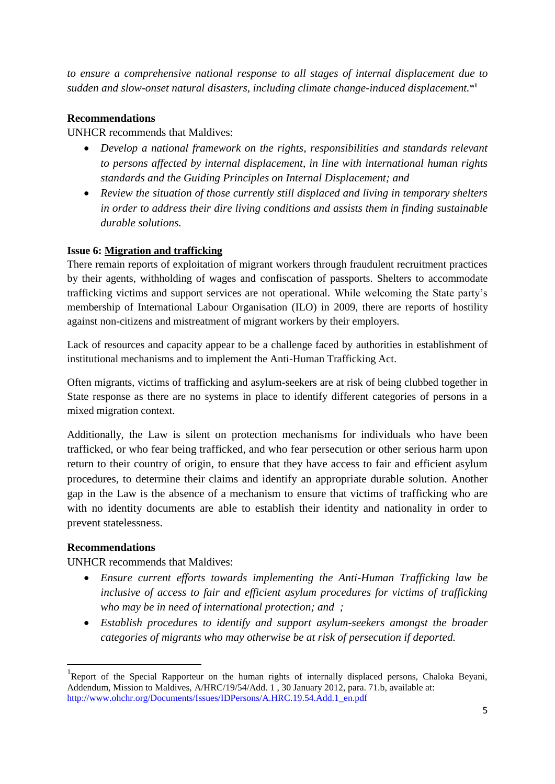*to ensure a comprehensive national response to all stages of internal displacement due to*  sudden and slow-onset natural disasters, including climate change-induced displacement."<sup>1</sup>

### **Recommendations**

UNHCR recommends that Maldives:

- *Develop a national framework on the rights, responsibilities and standards relevant to persons affected by internal displacement, in line with international human rights standards and the Guiding Principles on Internal Displacement; and*
- *Review the situation of those currently still displaced and living in temporary shelters in order to address their dire living conditions and assists them in finding sustainable durable solutions.*

### **Issue 6: Migration and trafficking**

There remain reports of exploitation of migrant workers through fraudulent recruitment practices by their agents, withholding of wages and confiscation of passports. Shelters to accommodate trafficking victims and support services are not operational. While welcoming the State party's membership of International Labour Organisation (ILO) in 2009, there are reports of hostility against non-citizens and mistreatment of migrant workers by their employers.

Lack of resources and capacity appear to be a challenge faced by authorities in establishment of institutional mechanisms and to implement the Anti-Human Trafficking Act.

Often migrants, victims of trafficking and asylum-seekers are at risk of being clubbed together in State response as there are no systems in place to identify different categories of persons in a mixed migration context.

Additionally, the Law is silent on protection mechanisms for individuals who have been trafficked, or who fear being trafficked, and who fear persecution or other serious harm upon return to their country of origin, to ensure that they have access to fair and efficient asylum procedures, to determine their claims and identify an appropriate durable solution. Another gap in the Law is the absence of a mechanism to ensure that victims of trafficking who are with no identity documents are able to establish their identity and nationality in order to prevent statelessness.

### **Recommendations**

**.** 

### UNHCR recommends that Maldives:

- *Ensure current efforts towards implementing the Anti-Human Trafficking law be inclusive of access to fair and efficient asylum procedures for victims of trafficking who may be in need of international protection; and ;*
- *Establish procedures to identify and support asylum-seekers amongst the broader categories of migrants who may otherwise be at risk of persecution if deported.*

<sup>&</sup>lt;sup>1</sup>Report of the Special Rapporteur on the human rights of internally displaced persons, Chaloka Beyani, Addendum, Mission to Maldives, A/HRC/19/54/Add. 1 , 30 January 2012, para. 71.b, available at: [http://www.ohchr.org/Documents/Issues/IDPersons/A.HRC.19.54.Add.1\\_en.pdf](http://www.ohchr.org/Documents/Issues/IDPersons/A.HRC.19.54.Add.1_en.pdf)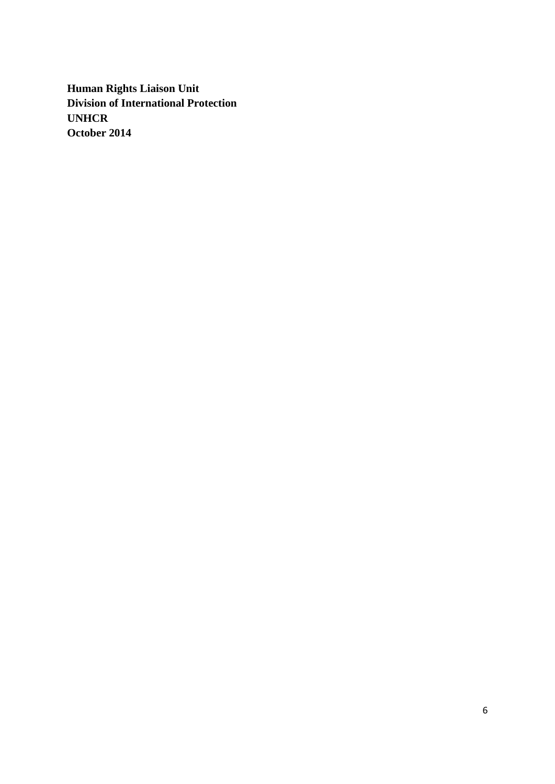**Human Rights Liaison Unit Division of International Protection UNHCR October 2014**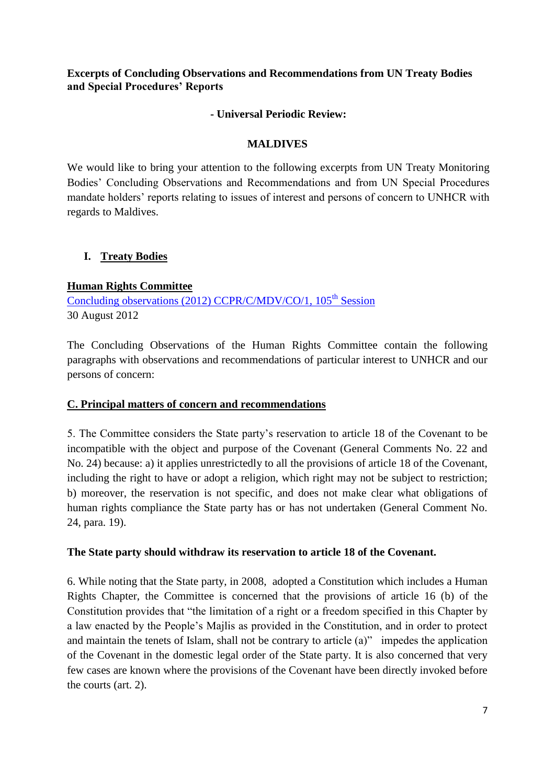### **Excerpts of Concluding Observations and Recommendations from UN Treaty Bodies and Special Procedures' Reports**

### **- Universal Periodic Review:**

### **MALDIVES**

We would like to bring your attention to the following excerpts from UN Treaty Monitoring Bodies' Concluding Observations and Recommendations and from UN Special Procedures mandate holders' reports relating to issues of interest and persons of concern to UNHCR with regards to Maldives.

### **I. Treaty Bodies**

### **Human Rights Committee**

[Concluding observations \(2012\) CCPR/C/MDV/CO/1, 105](http://tbinternet.ohchr.org/_layouts/treatybodyexternal/Download.aspx?symbolno=CCPR/C/MDV/CO/1&Lang=En)<sup>th</sup> Session 30 August 2012

The Concluding Observations of the Human Rights Committee contain the following paragraphs with observations and recommendations of particular interest to UNHCR and our persons of concern:

### **C. Principal matters of concern and recommendations**

5. The Committee considers the State party's reservation to article 18 of the Covenant to be incompatible with the object and purpose of the Covenant (General Comments No. 22 and No. 24) because: a) it applies unrestrictedly to all the provisions of article 18 of the Covenant, including the right to have or adopt a religion, which right may not be subject to restriction; b) moreover, the reservation is not specific, and does not make clear what obligations of human rights compliance the State party has or has not undertaken (General Comment No. 24, para. 19).

### **The State party should withdraw its reservation to article 18 of the Covenant.**

6. While noting that the State party, in 2008, adopted a Constitution which includes a Human Rights Chapter, the Committee is concerned that the provisions of article 16 (b) of the Constitution provides that "the limitation of a right or a freedom specified in this Chapter by a law enacted by the People's Majlis as provided in the Constitution, and in order to protect and maintain the tenets of Islam, shall not be contrary to article (a)" impedes the application of the Covenant in the domestic legal order of the State party. It is also concerned that very few cases are known where the provisions of the Covenant have been directly invoked before the courts (art. 2).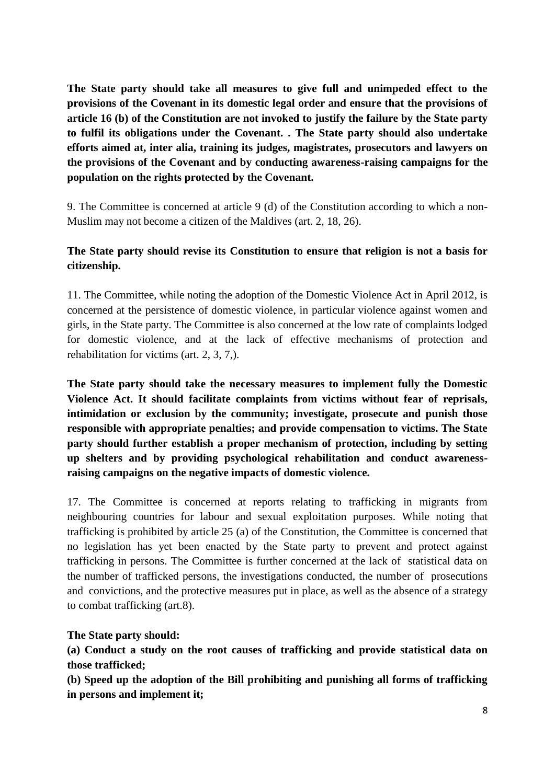**The State party should take all measures to give full and unimpeded effect to the provisions of the Covenant in its domestic legal order and ensure that the provisions of article 16 (b) of the Constitution are not invoked to justify the failure by the State party to fulfil its obligations under the Covenant. . The State party should also undertake efforts aimed at, inter alia, training its judges, magistrates, prosecutors and lawyers on the provisions of the Covenant and by conducting awareness-raising campaigns for the population on the rights protected by the Covenant.**

9. The Committee is concerned at article 9 (d) of the Constitution according to which a non-Muslim may not become a citizen of the Maldives (art. 2, 18, 26).

# **The State party should revise its Constitution to ensure that religion is not a basis for citizenship.**

11. The Committee, while noting the adoption of the Domestic Violence Act in April 2012, is concerned at the persistence of domestic violence, in particular violence against women and girls, in the State party. The Committee is also concerned at the low rate of complaints lodged for domestic violence, and at the lack of effective mechanisms of protection and rehabilitation for victims (art. 2, 3, 7,).

**The State party should take the necessary measures to implement fully the Domestic Violence Act. It should facilitate complaints from victims without fear of reprisals, intimidation or exclusion by the community; investigate, prosecute and punish those responsible with appropriate penalties; and provide compensation to victims. The State party should further establish a proper mechanism of protection, including by setting up shelters and by providing psychological rehabilitation and conduct awarenessraising campaigns on the negative impacts of domestic violence.** 

17. The Committee is concerned at reports relating to trafficking in migrants from neighbouring countries for labour and sexual exploitation purposes. While noting that trafficking is prohibited by article 25 (a) of the Constitution, the Committee is concerned that no legislation has yet been enacted by the State party to prevent and protect against trafficking in persons. The Committee is further concerned at the lack of statistical data on the number of trafficked persons, the investigations conducted, the number of prosecutions and convictions, and the protective measures put in place, as well as the absence of a strategy to combat trafficking (art.8).

### **The State party should:**

**(a) Conduct a study on the root causes of trafficking and provide statistical data on those trafficked;**

**(b) Speed up the adoption of the Bill prohibiting and punishing all forms of trafficking in persons and implement it;**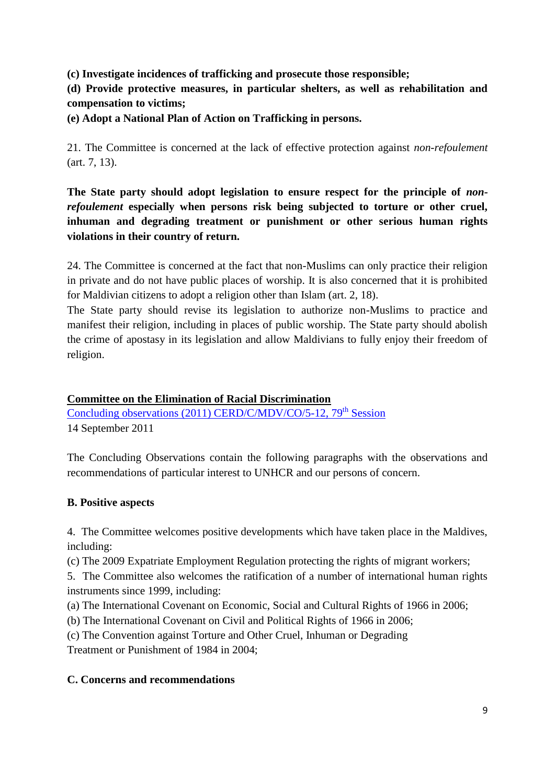**(c) Investigate incidences of trafficking and prosecute those responsible;** 

**(d) Provide protective measures, in particular shelters, as well as rehabilitation and compensation to victims;**

**(e) Adopt a National Plan of Action on Trafficking in persons.**

21. The Committee is concerned at the lack of effective protection against *non-refoulement* (art. 7, 13).

**The State party should adopt legislation to ensure respect for the principle of** *nonrefoulement* **especially when persons risk being subjected to torture or other cruel, inhuman and degrading treatment or punishment or other serious human rights violations in their country of return.**

24. The Committee is concerned at the fact that non-Muslims can only practice their religion in private and do not have public places of worship. It is also concerned that it is prohibited for Maldivian citizens to adopt a religion other than Islam (art. 2, 18).

The State party should revise its legislation to authorize non-Muslims to practice and manifest their religion, including in places of public worship. The State party should abolish the crime of apostasy in its legislation and allow Maldivians to fully enjoy their freedom of religion.

## **Committee on the Elimination of Racial Discrimination**

[Concluding observations \(2011\) CERD/C/MDV/CO/5-12, 79](http://tbinternet.ohchr.org/_layouts/treatybodyexternal/Download.aspx?symbolno=CERD/C/MDV/CO/5-12&Lang=En)<sup>th</sup> Session 14 September 2011

The Concluding Observations contain the following paragraphs with the observations and recommendations of particular interest to UNHCR and our persons of concern.

# **B. Positive aspects**

4. The Committee welcomes positive developments which have taken place in the Maldives, including:

(c) The 2009 Expatriate Employment Regulation protecting the rights of migrant workers;

5. The Committee also welcomes the ratification of a number of international human rights instruments since 1999, including:

(a) The International Covenant on Economic, Social and Cultural Rights of 1966 in 2006;

(b) The International Covenant on Civil and Political Rights of 1966 in 2006;

(c) The Convention against Torture and Other Cruel, Inhuman or Degrading Treatment or Punishment of 1984 in 2004;

# **C. Concerns and recommendations**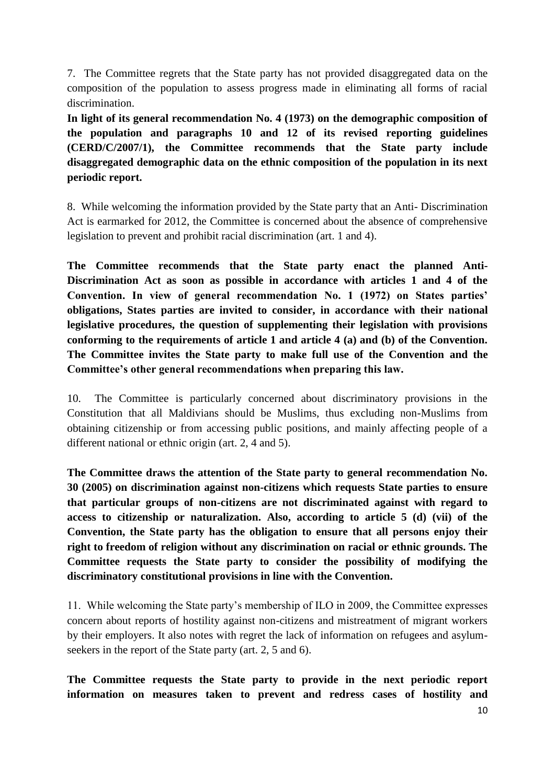7. The Committee regrets that the State party has not provided disaggregated data on the composition of the population to assess progress made in eliminating all forms of racial discrimination.

**In light of its general recommendation No. 4 (1973) on the demographic composition of the population and paragraphs 10 and 12 of its revised reporting guidelines (CERD/C/2007/1), the Committee recommends that the State party include disaggregated demographic data on the ethnic composition of the population in its next periodic report.** 

8. While welcoming the information provided by the State party that an Anti- Discrimination Act is earmarked for 2012, the Committee is concerned about the absence of comprehensive legislation to prevent and prohibit racial discrimination (art. 1 and 4).

**The Committee recommends that the State party enact the planned Anti-Discrimination Act as soon as possible in accordance with articles 1 and 4 of the Convention. In view of general recommendation No. 1 (1972) on States parties' obligations, States parties are invited to consider, in accordance with their national legislative procedures, the question of supplementing their legislation with provisions conforming to the requirements of article 1 and article 4 (a) and (b) of the Convention. The Committee invites the State party to make full use of the Convention and the Committee's other general recommendations when preparing this law.** 

10. The Committee is particularly concerned about discriminatory provisions in the Constitution that all Maldivians should be Muslims, thus excluding non-Muslims from obtaining citizenship or from accessing public positions, and mainly affecting people of a different national or ethnic origin (art. 2, 4 and 5).

**The Committee draws the attention of the State party to general recommendation No. 30 (2005) on discrimination against non-citizens which requests State parties to ensure that particular groups of non-citizens are not discriminated against with regard to access to citizenship or naturalization. Also, according to article 5 (d) (vii) of the Convention, the State party has the obligation to ensure that all persons enjoy their right to freedom of religion without any discrimination on racial or ethnic grounds. The Committee requests the State party to consider the possibility of modifying the discriminatory constitutional provisions in line with the Convention.** 

11. While welcoming the State party's membership of ILO in 2009, the Committee expresses concern about reports of hostility against non-citizens and mistreatment of migrant workers by their employers. It also notes with regret the lack of information on refugees and asylumseekers in the report of the State party (art. 2, 5 and 6).

**The Committee requests the State party to provide in the next periodic report information on measures taken to prevent and redress cases of hostility and**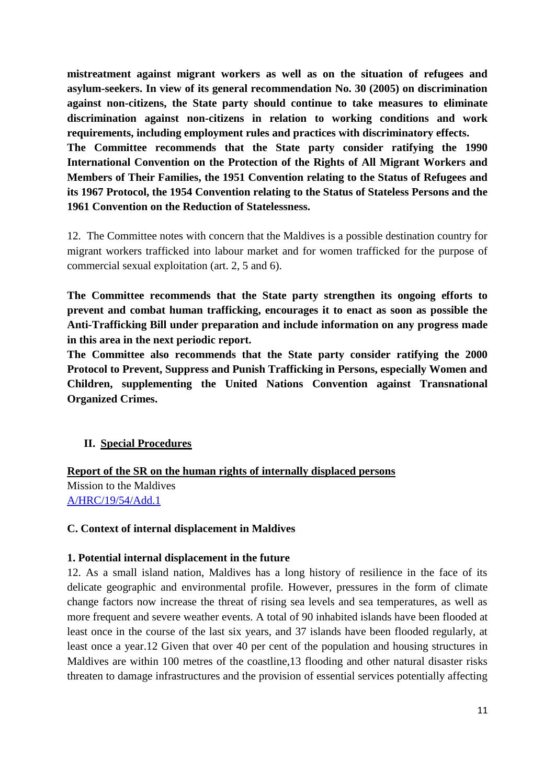**mistreatment against migrant workers as well as on the situation of refugees and asylum-seekers. In view of its general recommendation No. 30 (2005) on discrimination against non-citizens, the State party should continue to take measures to eliminate discrimination against non-citizens in relation to working conditions and work requirements, including employment rules and practices with discriminatory effects.**

**The Committee recommends that the State party consider ratifying the 1990 International Convention on the Protection of the Rights of All Migrant Workers and Members of Their Families, the 1951 Convention relating to the Status of Refugees and its 1967 Protocol, the 1954 Convention relating to the Status of Stateless Persons and the 1961 Convention on the Reduction of Statelessness.** 

12. The Committee notes with concern that the Maldives is a possible destination country for migrant workers trafficked into labour market and for women trafficked for the purpose of commercial sexual exploitation (art. 2, 5 and 6).

**The Committee recommends that the State party strengthen its ongoing efforts to prevent and combat human trafficking, encourages it to enact as soon as possible the Anti-Trafficking Bill under preparation and include information on any progress made in this area in the next periodic report.** 

**The Committee also recommends that the State party consider ratifying the 2000 Protocol to Prevent, Suppress and Punish Trafficking in Persons, especially Women and Children, supplementing the United Nations Convention against Transnational Organized Crimes.**

### **II. Special Procedures**

**Report of the SR on the human rights of internally displaced persons**  Mission to the Maldives [A/HRC/19/54/Add.1](http://www.ohchr.org/Documents/HRBodies/HRCouncil/RegularSession/Session23/A-HRC-23-43-Add3_en.pdf)

### **C. Context of internal displacement in Maldives**

#### **1. Potential internal displacement in the future**

12. As a small island nation, Maldives has a long history of resilience in the face of its delicate geographic and environmental profile. However, pressures in the form of climate change factors now increase the threat of rising sea levels and sea temperatures, as well as more frequent and severe weather events. A total of 90 inhabited islands have been flooded at least once in the course of the last six years, and 37 islands have been flooded regularly, at least once a year.12 Given that over 40 per cent of the population and housing structures in Maldives are within 100 metres of the coastline,13 flooding and other natural disaster risks threaten to damage infrastructures and the provision of essential services potentially affecting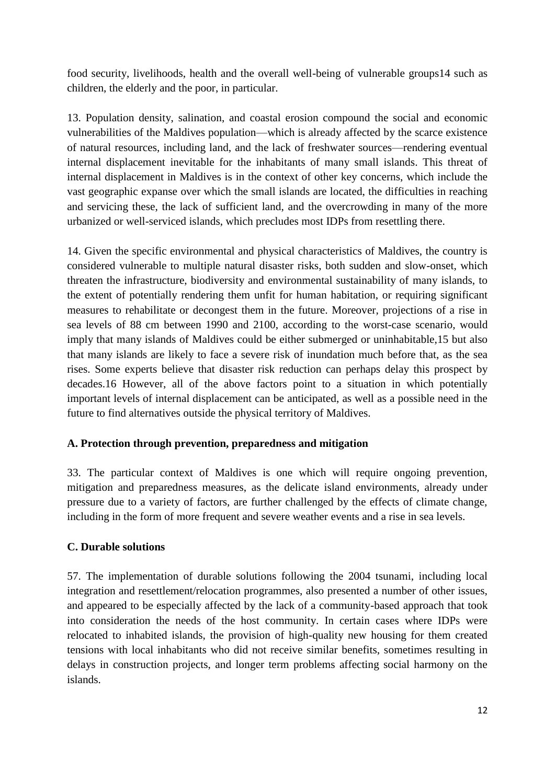food security, livelihoods, health and the overall well-being of vulnerable groups14 such as children, the elderly and the poor, in particular.

13. Population density, salination, and coastal erosion compound the social and economic vulnerabilities of the Maldives population—which is already affected by the scarce existence of natural resources, including land, and the lack of freshwater sources—rendering eventual internal displacement inevitable for the inhabitants of many small islands. This threat of internal displacement in Maldives is in the context of other key concerns, which include the vast geographic expanse over which the small islands are located, the difficulties in reaching and servicing these, the lack of sufficient land, and the overcrowding in many of the more urbanized or well-serviced islands, which precludes most IDPs from resettling there.

14. Given the specific environmental and physical characteristics of Maldives, the country is considered vulnerable to multiple natural disaster risks, both sudden and slow-onset, which threaten the infrastructure, biodiversity and environmental sustainability of many islands, to the extent of potentially rendering them unfit for human habitation, or requiring significant measures to rehabilitate or decongest them in the future. Moreover, projections of a rise in sea levels of 88 cm between 1990 and 2100, according to the worst-case scenario, would imply that many islands of Maldives could be either submerged or uninhabitable,15 but also that many islands are likely to face a severe risk of inundation much before that, as the sea rises. Some experts believe that disaster risk reduction can perhaps delay this prospect by decades.16 However, all of the above factors point to a situation in which potentially important levels of internal displacement can be anticipated, as well as a possible need in the future to find alternatives outside the physical territory of Maldives.

### **A. Protection through prevention, preparedness and mitigation**

33. The particular context of Maldives is one which will require ongoing prevention, mitigation and preparedness measures, as the delicate island environments, already under pressure due to a variety of factors, are further challenged by the effects of climate change, including in the form of more frequent and severe weather events and a rise in sea levels.

### **C. Durable solutions**

57. The implementation of durable solutions following the 2004 tsunami, including local integration and resettlement/relocation programmes, also presented a number of other issues, and appeared to be especially affected by the lack of a community-based approach that took into consideration the needs of the host community. In certain cases where IDPs were relocated to inhabited islands, the provision of high-quality new housing for them created tensions with local inhabitants who did not receive similar benefits, sometimes resulting in delays in construction projects, and longer term problems affecting social harmony on the islands.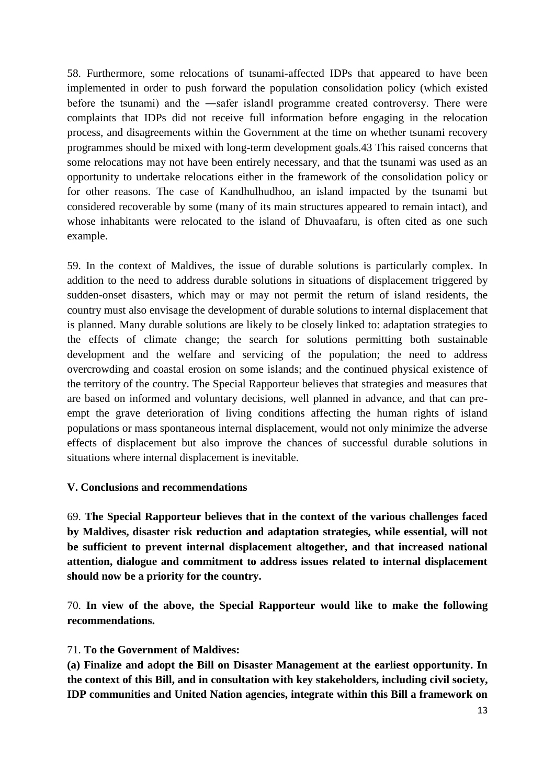58. Furthermore, some relocations of tsunami-affected IDPs that appeared to have been implemented in order to push forward the population consolidation policy (which existed before the tsunami) and the —safer islandl programme created controversy. There were complaints that IDPs did not receive full information before engaging in the relocation process, and disagreements within the Government at the time on whether tsunami recovery programmes should be mixed with long-term development goals.43 This raised concerns that some relocations may not have been entirely necessary, and that the tsunami was used as an opportunity to undertake relocations either in the framework of the consolidation policy or for other reasons. The case of Kandhulhudhoo, an island impacted by the tsunami but considered recoverable by some (many of its main structures appeared to remain intact), and whose inhabitants were relocated to the island of Dhuvaafaru, is often cited as one such example.

59. In the context of Maldives, the issue of durable solutions is particularly complex. In addition to the need to address durable solutions in situations of displacement triggered by sudden-onset disasters, which may or may not permit the return of island residents, the country must also envisage the development of durable solutions to internal displacement that is planned. Many durable solutions are likely to be closely linked to: adaptation strategies to the effects of climate change; the search for solutions permitting both sustainable development and the welfare and servicing of the population; the need to address overcrowding and coastal erosion on some islands; and the continued physical existence of the territory of the country. The Special Rapporteur believes that strategies and measures that are based on informed and voluntary decisions, well planned in advance, and that can preempt the grave deterioration of living conditions affecting the human rights of island populations or mass spontaneous internal displacement, would not only minimize the adverse effects of displacement but also improve the chances of successful durable solutions in situations where internal displacement is inevitable.

#### **V. Conclusions and recommendations**

69. **The Special Rapporteur believes that in the context of the various challenges faced by Maldives, disaster risk reduction and adaptation strategies, while essential, will not be sufficient to prevent internal displacement altogether, and that increased national attention, dialogue and commitment to address issues related to internal displacement should now be a priority for the country.**

70. **In view of the above, the Special Rapporteur would like to make the following recommendations.** 

#### 71. **To the Government of Maldives:**

**(a) Finalize and adopt the Bill on Disaster Management at the earliest opportunity. In the context of this Bill, and in consultation with key stakeholders, including civil society, IDP communities and United Nation agencies, integrate within this Bill a framework on**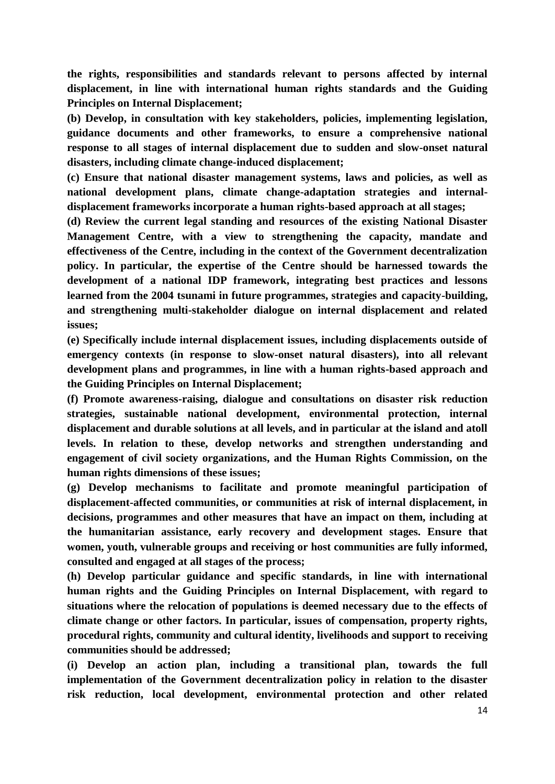**the rights, responsibilities and standards relevant to persons affected by internal displacement, in line with international human rights standards and the Guiding Principles on Internal Displacement;** 

**(b) Develop, in consultation with key stakeholders, policies, implementing legislation, guidance documents and other frameworks, to ensure a comprehensive national response to all stages of internal displacement due to sudden and slow-onset natural disasters, including climate change-induced displacement;** 

**(c) Ensure that national disaster management systems, laws and policies, as well as national development plans, climate change-adaptation strategies and internaldisplacement frameworks incorporate a human rights-based approach at all stages;** 

**(d) Review the current legal standing and resources of the existing National Disaster Management Centre, with a view to strengthening the capacity, mandate and effectiveness of the Centre, including in the context of the Government decentralization policy. In particular, the expertise of the Centre should be harnessed towards the development of a national IDP framework, integrating best practices and lessons learned from the 2004 tsunami in future programmes, strategies and capacity-building, and strengthening multi-stakeholder dialogue on internal displacement and related issues;** 

**(e) Specifically include internal displacement issues, including displacements outside of emergency contexts (in response to slow-onset natural disasters), into all relevant development plans and programmes, in line with a human rights-based approach and the Guiding Principles on Internal Displacement;** 

**(f) Promote awareness-raising, dialogue and consultations on disaster risk reduction strategies, sustainable national development, environmental protection, internal displacement and durable solutions at all levels, and in particular at the island and atoll levels. In relation to these, develop networks and strengthen understanding and engagement of civil society organizations, and the Human Rights Commission, on the human rights dimensions of these issues;** 

**(g) Develop mechanisms to facilitate and promote meaningful participation of displacement-affected communities, or communities at risk of internal displacement, in decisions, programmes and other measures that have an impact on them, including at the humanitarian assistance, early recovery and development stages. Ensure that women, youth, vulnerable groups and receiving or host communities are fully informed, consulted and engaged at all stages of the process;** 

**(h) Develop particular guidance and specific standards, in line with international human rights and the Guiding Principles on Internal Displacement, with regard to situations where the relocation of populations is deemed necessary due to the effects of climate change or other factors. In particular, issues of compensation, property rights, procedural rights, community and cultural identity, livelihoods and support to receiving communities should be addressed;** 

**(i) Develop an action plan, including a transitional plan, towards the full implementation of the Government decentralization policy in relation to the disaster risk reduction, local development, environmental protection and other related**